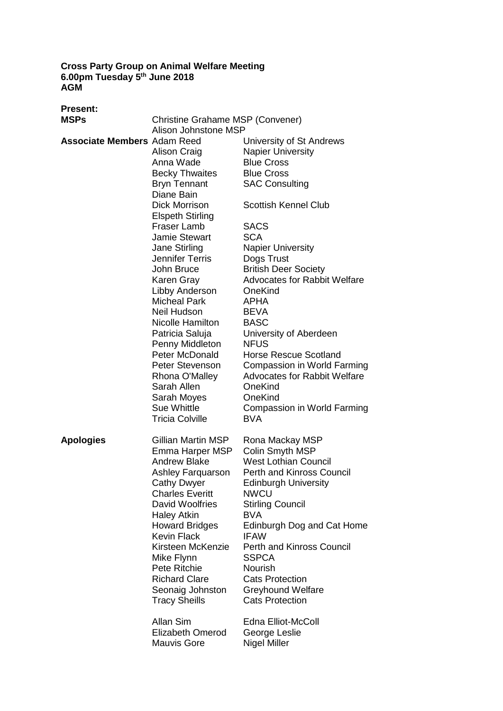**Cross Party Group on Animal Welfare Meeting 6.00pm Tuesday 5 th June 2018 AGM**

| <b>Present:</b>                    |                                  |                                     |
|------------------------------------|----------------------------------|-------------------------------------|
| <b>MSPs</b>                        | Christine Grahame MSP (Convener) |                                     |
|                                    | Alison Johnstone MSP             |                                     |
| <b>Associate Members Adam Reed</b> |                                  | University of St Andrews            |
|                                    | Alison Craig                     | <b>Napier University</b>            |
|                                    | Anna Wade                        | <b>Blue Cross</b>                   |
|                                    | <b>Becky Thwaites</b>            | <b>Blue Cross</b>                   |
|                                    | <b>Bryn Tennant</b>              | <b>SAC Consulting</b>               |
|                                    | Diane Bain                       |                                     |
|                                    | Dick Morrison                    | <b>Scottish Kennel Club</b>         |
|                                    | <b>Elspeth Stirling</b>          |                                     |
|                                    | <b>Fraser Lamb</b>               | <b>SACS</b>                         |
|                                    | <b>Jamie Stewart</b>             | <b>SCA</b>                          |
|                                    | Jane Stirling                    | <b>Napier University</b>            |
|                                    | <b>Jennifer Terris</b>           | Dogs Trust                          |
|                                    | John Bruce                       | <b>British Deer Society</b>         |
|                                    | Karen Gray                       | Advocates for Rabbit Welfare        |
|                                    | Libby Anderson                   | OneKind                             |
|                                    | <b>Micheal Park</b>              | <b>APHA</b>                         |
|                                    | Neil Hudson                      | <b>BEVA</b>                         |
|                                    | Nicolle Hamilton                 | <b>BASC</b>                         |
|                                    | Patricia Saluja                  | University of Aberdeen              |
|                                    | Penny Middleton                  | <b>NFUS</b>                         |
|                                    | Peter McDonald                   | <b>Horse Rescue Scotland</b>        |
|                                    | Peter Stevenson                  | Compassion in World Farming         |
|                                    | Rhona O'Malley                   | <b>Advocates for Rabbit Welfare</b> |
|                                    | Sarah Allen                      | OneKind                             |
|                                    | Sarah Moyes                      | OneKind                             |
|                                    | <b>Sue Whittle</b>               | Compassion in World Farming         |
|                                    | <b>Tricia Colville</b>           | <b>BVA</b>                          |
| <b>Apologies</b>                   | Gillian Martin MSP               | Rona Mackay MSP                     |
|                                    | Emma Harper MSP                  | Colin Smyth MSP                     |
|                                    | <b>Andrew Blake</b>              | <b>West Lothian Council</b>         |
|                                    | Ashley Farquarson                | <b>Perth and Kinross Council</b>    |
|                                    | <b>Cathy Dwyer</b>               | <b>Edinburgh University</b>         |
|                                    | <b>Charles Everitt</b>           | <b>NWCU</b>                         |
|                                    | David Woolfries                  | <b>Stirling Council</b>             |
|                                    | <b>Haley Atkin</b>               | <b>BVA</b>                          |
|                                    | <b>Howard Bridges</b>            | Edinburgh Dog and Cat Home          |
|                                    | <b>Kevin Flack</b>               | <b>IFAW</b>                         |
|                                    | Kirsteen McKenzie                | <b>Perth and Kinross Council</b>    |
|                                    | Mike Flynn                       | <b>SSPCA</b>                        |
|                                    | Pete Ritchie                     | Nourish                             |
|                                    | <b>Richard Clare</b>             | <b>Cats Protection</b>              |
|                                    | Seonaig Johnston                 | <b>Greyhound Welfare</b>            |
|                                    | <b>Tracy Sheills</b>             | <b>Cats Protection</b>              |
|                                    | Allan Sim                        | Edna Elliot-McColl                  |
|                                    | <b>Elizabeth Omerod</b>          | George Leslie                       |
|                                    | <b>Mauvis Gore</b>               | <b>Nigel Miller</b>                 |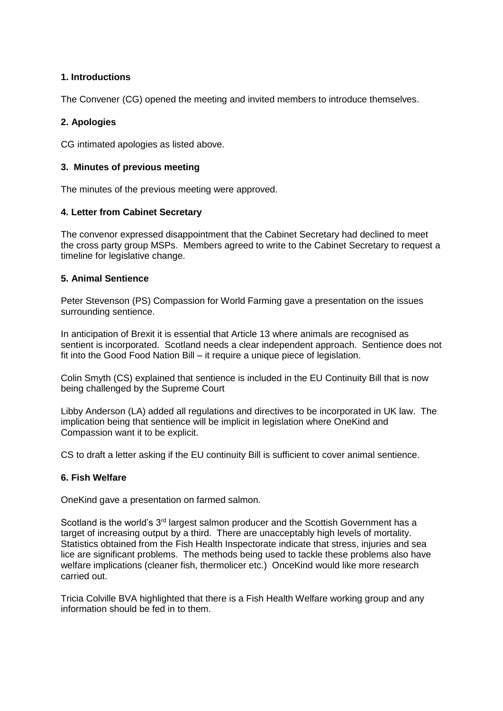## **1. Introductions**

The Convener (CG) opened the meeting and invited members to introduce themselves.

## **2. Apologies**

CG intimated apologies as listed above.

### **3. Minutes of previous meeting**

The minutes of the previous meeting were approved.

### **4. Letter from Cabinet Secretary**

The convenor expressed disappointment that the Cabinet Secretary had declined to meet the cross party group MSPs. Members agreed to write to the Cabinet Secretary to request a timeline for legislative change.

### **5. Animal Sentience**

Peter Stevenson (PS) Compassion for World Farming gave a presentation on the issues surrounding sentience.

In anticipation of Brexit it is essential that Article 13 where animals are recognised as sentient is incorporated. Scotland needs a clear independent approach. Sentience does not fit into the Good Food Nation Bill – it require a unique piece of legislation.

Colin Smyth (CS) explained that sentience is included in the EU Continuity Bill that is now being challenged by the Supreme Court

Libby Anderson (LA) added all regulations and directives to be incorporated in UK law. The implication being that sentience will be implicit in legislation where OneKind and Compassion want it to be explicit.

CS to draft a letter asking if the EU continuity Bill is sufficient to cover animal sentience.

### **6. Fish Welfare**

OneKind gave a presentation on farmed salmon.

Scotland is the world's 3<sup>rd</sup> largest salmon producer and the Scottish Government has a target of increasing output by a third. There are unacceptably high levels of mortality. Statistics obtained from the Fish Health Inspectorate indicate that stress, injuries and sea lice are significant problems. The methods being used to tackle these problems also have welfare implications (cleaner fish, thermolicer etc.) OnceKind would like more research carried out.

Tricia Colville BVA highlighted that there is a Fish Health Welfare working group and any information should be fed in to them.